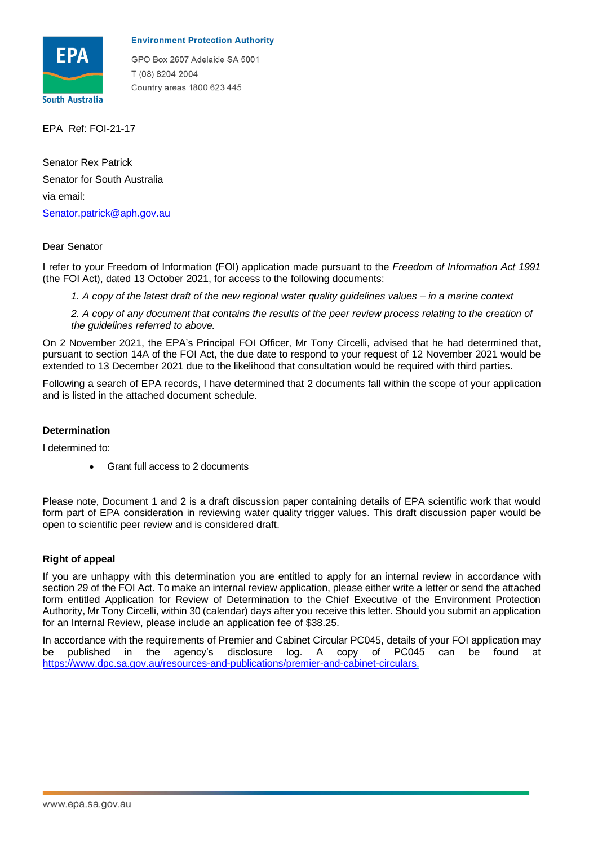

## **Environment Protection Authority**

GPO Box 2607 Adelaide SA 5001 T (08) 8204 2004 Country areas 1800 623 445

EPA Ref: FOI-21-17

 via email: Senator Rex Patrick Senator for South Australia Senator.patrick@aph.gov.au

## Dear Senator

 I refer to your Freedom of Information (FOI) application made pursuant to the *Freedom of Information Act 1991*  (the FOI Act), dated 13 October 2021, for access to the following documents:

 *1. A copy of the latest draft of the new regional water quality guidelines values – in a marine context* 

 *2. A copy of any document that contains the results of the peer review process relating to the creation of the guidelines referred to above.* 

 On 2 November 2021, the EPA's Principal FOI Officer, Mr Tony Circelli, advised that he had determined that, pursuant to section 14A of the FOI Act, the due date to respond to your request of 12 November 2021 would be extended to 13 December 2021 due to the likelihood that consultation would be required with third parties.

 Following a search of EPA records, I have determined that 2 documents fall within the scope of your application and is listed in the attached document schedule.

## **Determination**

I determined to:

• Grant full access to 2 documents

 Please note, Document 1 and 2 is a draft discussion paper containing details of EPA scientific work that would form part of EPA consideration in reviewing water quality trigger values. This draft discussion paper would be open to scientific peer review and is considered draft.

## **Right of appeal**

 If you are unhappy with this determination you are entitled to apply for an internal review in accordance with section 29 of the FOI Act. To make an internal review application, please either write a letter or send the attached form entitled Application for Review of Determination to the Chief Executive of the Environment Protection Authority, Mr Tony Circelli, within 30 (calendar) days after you receive this letter. Should you submit an application for an Internal Review, please include an application fee of \$38.25.

 In accordance with the requirements of Premier and Cabinet Circular PC045, details of your FOI application may published in the be published in the agency's disclosure log. A copy of PC045 can be found at [https://www.dpc.sa.gov.au/resources-and-publications/premier-and-cabinet-circulars.](https://www.dpc.sa.gov.au/resources-and-publications/premier-and-cabinet-circulars)